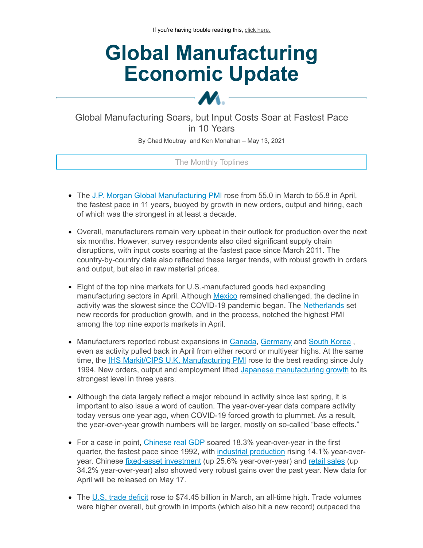# **Global Manufacturing Economic Update**

Global Manufacturing Soars, but Input Costs Soar at Fastest Pace in 10 Years

 $\bm{M}$ .

By Chad Moutray and Ken Monahan – May 13, 2021

# The Monthly Toplines

- The J.P. Morgan Global [Manufacturing](https://click.email.nam.org/?qs=5f90e6f7dbebfafe12536da3f04cd08c468de841c364062fb5fcdc164e786dd5f7067f8dac8670a00ebc4bb4d48b851edcb749997321e1bc) PMI rose from 55.0 in March to 55.8 in April, the fastest pace in 11 years, buoyed by growth in new orders, output and hiring, each of which was the strongest in at least a decade.
- Overall, manufacturers remain very upbeat in their outlook for production over the next six months. However, survey respondents also cited significant supply chain disruptions, with input costs soaring at the fastest pace since March 2011. The country-by-country data also reflected these larger trends, with robust growth in orders and output, but also in raw material prices.
- Eight of the top nine markets for U.S.-manufactured goods had expanding manufacturing sectors in April. Although [Mexico](https://click.email.nam.org/?qs=5f90e6f7dbebfafe464b537e80d2dfe6da3d217a7219be8c438f14d0b286380ee783f7fb883e6de73c8be378fc4bee1d4ec0f82ac9296e87) remained challenged, the decline in activity was the slowest since the COVID-19 pandemic began. The [Netherlands](https://click.email.nam.org/?qs=5f90e6f7dbebfafe3d2d18f56450b22eb28199e5850dac650f7988dc1de3c65d383dacafd2b52e0c29b717a4a7e4ca8a9977a7b4d970c0e7) set new records for production growth, and in the process, notched the highest PMI among the top nine exports markets in April.
- Manufacturers reported robust expansions in [Canada](https://click.email.nam.org/?qs=5f90e6f7dbebfafeb28bbf5377c061e9f2b19801db0fa14ad2e13202d32f26884da5e6a306ffbe040e0088299aed379239832781bf811b73), [Germany](https://click.email.nam.org/?qs=5f90e6f7dbebfafe8067a434ae928d1763ac903f593dc30d2012467c9f2765c923e2e45c1e7d8d2348b860052c9adffe87fa2eda564f2f51) and South [Korea](https://click.email.nam.org/?qs=5f90e6f7dbebfafee52d475930d546fbd1465f40c1989918b36315d848a2164d42476683512f94cb27d06c4836f92e820ad857cb6f3ae53b), even as activity pulled back in April from either record or multiyear highs. At the same time, the **IHS Markit/CIPS U.K. [Manufacturing](https://click.email.nam.org/?qs=5f90e6f7dbebfafefbeaaf11186fb49071237b9842666d0a00d2371bc34e68cbaad976519ad626f91089915ea16bc2cbd0d51c23a16e7ee5) PMI** rose to the best reading since July 1994. New orders, output and employment lifted Japanese [manufacturing](https://click.email.nam.org/?qs=5f90e6f7dbebfafe515088e6a5f143661cd6b56ae4948bcf35f65d40cce295671e479d023382e9a7fdef083f1ff5be6c7a29e49d9c2f8e5a) growth to its strongest level in three years.
- Although the data largely reflect a major rebound in activity since last spring, it is important to also issue a word of caution. The year-over-year data compare activity today versus one year ago, when COVID-19 forced growth to plummet. As a result, the year-over-year growth numbers will be larger, mostly on so-called "base effects."
- For a case in point, [Chinese](https://click.email.nam.org/?qs=5f90e6f7dbebfafed140753679bf005c24b9a7b2babd6efaf6cff3c0e7435efbcac3e0edb2cf21b9907b7517eb6b35d2c69bd588e89c432b) real GDP soared 18.3% year-over-year in the first quarter, the fastest pace since 1992, with industrial [production](https://click.email.nam.org/?qs=5f90e6f7dbebfafedf58f234841eae51c49242927cea69cc4cbecd4cb0295f860d5c0b540724b90027ef6c6972551ad220ff4a71b6a6952a) rising 14.1% year-overyear. Chinese fixed-asset [investment](https://click.email.nam.org/?qs=5f90e6f7dbebfafe4306515f60457f997e0ca3a1e78357ea6f907cec8dfbd08c87f8d59242b64fecd1cf6076f69f62a88dfa31875fca5d6e) (up 25.6% year-over-year) and retail [sales](https://click.email.nam.org/?qs=5f90e6f7dbebfafe2d797405ecb3eb2ffcfe1c8cc18a704c7745b0dbe03650e13de53c03e74488fbbb1eef0e463defea9c912a0cea248cca) (up 34.2% year-over-year) also showed very robust gains over the past year. New data for April will be released on May 17.
- The U.S. trade [deficit](https://click.email.nam.org/?qs=5f90e6f7dbebfafe37b52330b15b334a70526f92c164f05543d26cd4f6f32d0618ddd1e894880f08446c1aa03e95b8c85ee2a27626bb6f16) rose to \$74.45 billion in March, an all-time high. Trade volumes were higher overall, but growth in imports (which also hit a new record) outpaced the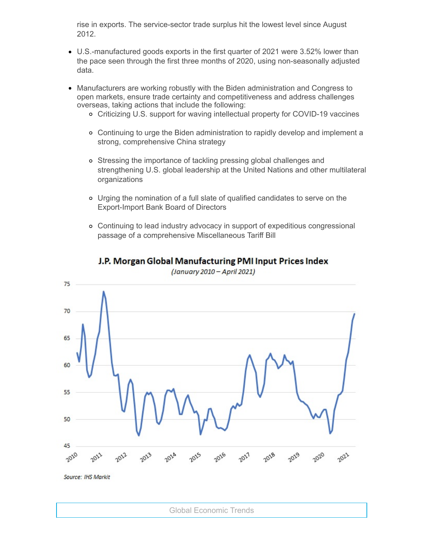rise in exports. The service-sector trade surplus hit the lowest level since August 2012.

- U.S.-manufactured goods exports in the first quarter of 2021 were 3.52% lower than the pace seen through the first three months of 2020, using non-seasonally adjusted data.
- Manufacturers are working robustly with the Biden administration and Congress to open markets, ensure trade certainty and competitiveness and address challenges overseas, taking actions that include the following:
	- Criticizing U.S. support for waving intellectual property for COVID-19 vaccines
	- Continuing to urge the Biden administration to rapidly develop and implement a strong, comprehensive China strategy
	- Stressing the importance of tackling pressing global challenges and strengthening U.S. global leadership at the United Nations and other multilateral organizations
	- Urging the nomination of a full slate of qualified candidates to serve on the Export-Import Bank Board of Directors
	- Continuing to lead industry advocacy in support of expeditious congressional passage of a comprehensive Miscellaneous Tariff Bill



# J.P. Morgan Global Manufacturing PMI Input Prices Index

(January 2010 - April 2021)

Source: IHS Markit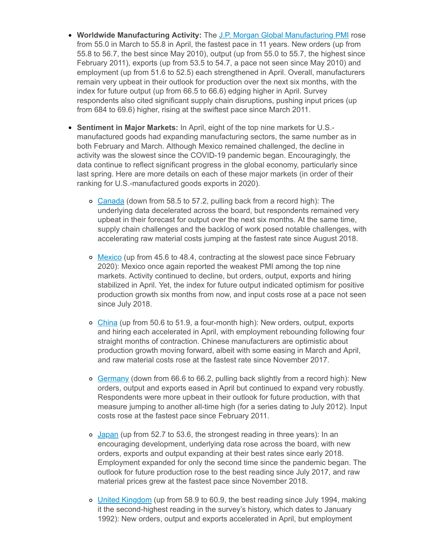- **Worldwide Manufacturing Activity:** The J.P. Morgan Global [Manufacturing](https://click.email.nam.org/?qs=5f90e6f7dbebfafe12536da3f04cd08c468de841c364062fb5fcdc164e786dd5f7067f8dac8670a00ebc4bb4d48b851edcb749997321e1bc) PMI rose from 55.0 in March to 55.8 in April, the fastest pace in 11 years. New orders (up from 55.8 to 56.7, the best since May 2010), output (up from 55.0 to 55.7, the highest since February 2011), exports (up from 53.5 to 54.7, a pace not seen since May 2010) and employment (up from 51.6 to 52.5) each strengthened in April. Overall, manufacturers remain very upbeat in their outlook for production over the next six months, with the index for future output (up from 66.5 to 66.6) edging higher in April. Survey respondents also cited significant supply chain disruptions, pushing input prices (up from 684 to 69.6) higher, rising at the swiftest pace since March 2011.
- **Sentiment in Major Markets:** In April, eight of the top nine markets for U.S. manufactured goods had expanding manufacturing sectors, the same number as in both February and March. Although Mexico remained challenged, the decline in activity was the slowest since the COVID-19 pandemic began. Encouragingly, the data continue to reflect significant progress in the global economy, particularly since last spring. Here are more details on each of these major markets (in order of their ranking for U.S.-manufactured goods exports in 2020).
	- o [Canada](https://click.email.nam.org/?qs=5f90e6f7dbebfafeb28bbf5377c061e9f2b19801db0fa14ad2e13202d32f26884da5e6a306ffbe040e0088299aed379239832781bf811b73) (down from 58.5 to 57.2, pulling back from a record high): The underlying data decelerated across the board, but respondents remained very upbeat in their forecast for output over the next six months. At the same time, supply chain challenges and the backlog of work posed notable challenges, with accelerating raw material costs jumping at the fastest rate since August 2018.
	- o [Mexico](https://click.email.nam.org/?qs=5f90e6f7dbebfafe464b537e80d2dfe6da3d217a7219be8c438f14d0b286380ee783f7fb883e6de73c8be378fc4bee1d4ec0f82ac9296e87) (up from 45.6 to 48.4, contracting at the slowest pace since February 2020): Mexico once again reported the weakest PMI among the top nine markets. Activity continued to decline, but orders, output, exports and hiring stabilized in April. Yet, the index for future output indicated optimism for positive production growth six months from now, and input costs rose at a pace not seen since July 2018.
	- [China](https://click.email.nam.org/?qs=5f90e6f7dbebfafef287798c74fa4a4f7987c84192aefb4e8d25141e4fd0f169b40764cf59993304ab3818f4bd367ff156a307882c71c445) (up from 50.6 to 51.9, a four-month high): New orders, output, exports and hiring each accelerated in April, with employment rebounding following four straight months of contraction. Chinese manufacturers are optimistic about production growth moving forward, albeit with some easing in March and April, and raw material costs rose at the fastest rate since November 2017.
	- o [Germany](https://click.email.nam.org/?qs=5f90e6f7dbebfafe8067a434ae928d1763ac903f593dc30d2012467c9f2765c923e2e45c1e7d8d2348b860052c9adffe87fa2eda564f2f51) (down from 66.6 to 66.2, pulling back slightly from a record high): New orders, output and exports eased in April but continued to expand very robustly. Respondents were more upbeat in their outlook for future production, with that measure jumping to another all-time high (for a series dating to July 2012). Input costs rose at the fastest pace since February 2011.
	- [Japan](https://click.email.nam.org/?qs=5f90e6f7dbebfafe515088e6a5f143661cd6b56ae4948bcf35f65d40cce295671e479d023382e9a7fdef083f1ff5be6c7a29e49d9c2f8e5a) (up from 52.7 to 53.6, the strongest reading in three years): In an encouraging development, underlying data rose across the board, with new orders, exports and output expanding at their best rates since early 2018. Employment expanded for only the second time since the pandemic began. The outlook for future production rose to the best reading since July 2017, and raw material prices grew at the fastest pace since November 2018.
	- o United [Kingdom](https://click.email.nam.org/?qs=5f90e6f7dbebfafefbeaaf11186fb49071237b9842666d0a00d2371bc34e68cbaad976519ad626f91089915ea16bc2cbd0d51c23a16e7ee5) (up from 58.9 to 60.9, the best reading since July 1994, making it the second-highest reading in the survey's history, which dates to January 1992): New orders, output and exports accelerated in April, but employment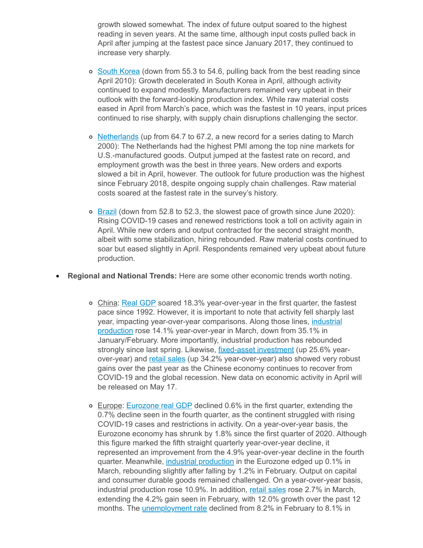growth slowed somewhat. The index of future output soared to the highest reading in seven years. At the same time, although input costs pulled back in April after jumping at the fastest pace since January 2017, they continued to increase very sharply.

- o South [Korea](https://click.email.nam.org/?qs=5f90e6f7dbebfafee52d475930d546fbd1465f40c1989918b36315d848a2164d42476683512f94cb27d06c4836f92e820ad857cb6f3ae53b) (down from 55.3 to 54.6, pulling back from the best reading since April 2010): Growth decelerated in South Korea in April, although activity continued to expand modestly. Manufacturers remained very upbeat in their outlook with the forward-looking production index. While raw material costs eased in April from March's pace, which was the fastest in 10 years, input prices continued to rise sharply, with supply chain disruptions challenging the sector.
- $\circ$  [Netherlands](https://click.email.nam.org/?qs=5f90e6f7dbebfafe3d2d18f56450b22eb28199e5850dac650f7988dc1de3c65d383dacafd2b52e0c29b717a4a7e4ca8a9977a7b4d970c0e7) (up from 64.7 to 67.2, a new record for a series dating to March 2000): The Netherlands had the highest PMI among the top nine markets for U.S.-manufactured goods. Output jumped at the fastest rate on record, and employment growth was the best in three years. New orders and exports slowed a bit in April, however. The outlook for future production was the highest since February 2018, despite ongoing supply chain challenges. Raw material costs soared at the fastest rate in the survey's history.
- $\circ$  [Brazil](https://click.email.nam.org/?qs=5f90e6f7dbebfafed64c194bba1c1701089db45ac8bf2cb1ba0c4c0f2ea070de3cf6a6670b916b30e63f956b1a97c519ace1c8975791e0ec) (down from 52.8 to 52.3, the slowest pace of growth since June 2020): Rising COVID-19 cases and renewed restrictions took a toll on activity again in April. While new orders and output contracted for the second straight month, albeit with some stabilization, hiring rebounded. Raw material costs continued to soar but eased slightly in April. Respondents remained very upbeat about future production.
- **Regional and National Trends:** Here are some other economic trends worth noting.
	- o China: Real [GDP](https://click.email.nam.org/?qs=5f90e6f7dbebfafed140753679bf005c24b9a7b2babd6efaf6cff3c0e7435efbcac3e0edb2cf21b9907b7517eb6b35d2c69bd588e89c432b) soared 18.3% year-over-year in the first quarter, the fastest pace since 1992. However, it is important to note that activity fell sharply last year, impacting [year-over-year](https://click.email.nam.org/?qs=5f90e6f7dbebfafedf58f234841eae51c49242927cea69cc4cbecd4cb0295f860d5c0b540724b90027ef6c6972551ad220ff4a71b6a6952a) comparisons. Along those lines, industrial production rose 14.1% year-over-year in March, down from 35.1% in January/February. More importantly, industrial production has rebounded strongly since last spring. Likewise, *fixed-asset [investment](https://click.email.nam.org/?qs=5f90e6f7dbebfafe4306515f60457f997e0ca3a1e78357ea6f907cec8dfbd08c87f8d59242b64fecd1cf6076f69f62a88dfa31875fca5d6e)* (up 25.6% yearover-year) and retail [sales](https://click.email.nam.org/?qs=5f90e6f7dbebfafe2d797405ecb3eb2ffcfe1c8cc18a704c7745b0dbe03650e13de53c03e74488fbbb1eef0e463defea9c912a0cea248cca) (up 34.2% year-over-year) also showed very robust gains over the past year as the Chinese economy continues to recover from COVID-19 and the global recession. New data on economic activity in April will be released on May 17.
	- Europe: [Eurozone](https://click.email.nam.org/?qs=5f90e6f7dbebfafe8f958b083b3b3ed4b982d113d411eb8d8b669967e8702250c15693cc62739b7a409d8fc369bc912632991181cfa884d1) real GDP declined 0.6% in the first quarter, extending the 0.7% decline seen in the fourth quarter, as the continent struggled with rising COVID-19 cases and restrictions in activity. On a year-over-year basis, the Eurozone economy has shrunk by 1.8% since the first quarter of 2020. Although this figure marked the fifth straight quarterly year-over-year decline, it represented an improvement from the 4.9% year-over-year decline in the fourth quarter. Meanwhile, industrial [production](https://click.email.nam.org/?qs=5f90e6f7dbebfafe3b828c6ec0386847442e219e05a28c747b71cbdd7bd48d9130d8dc8c7908b78b8ba651f0f27215ff829628fa532a5f06) in the Eurozone edged up 0.1% in March, rebounding slightly after falling by 1.2% in February. Output on capital and consumer durable goods remained challenged. On a year-over-year basis, industrial production rose 10.9%. In addition, retail [sales](https://click.email.nam.org/?qs=5f90e6f7dbebfafe0a3e25281ecbbe719c6d0f6b734542c246efbb932c2e64b7914edbd10df7fb3e2440994da25b605d2425e08c65f25e2b) rose 2.7% in March, extending the 4.2% gain seen in February, with 12.0% growth over the past 12 months. The *[unemployment](https://click.email.nam.org/?qs=5f90e6f7dbebfafe5ffc0f8cd9bbd8807f296676493e5ed0459d79c8532bb62f359240ef728702cd48b9e1a4ab3822826368fbcc207f0ca9) rate* declined from 8.2% in February to 8.1% in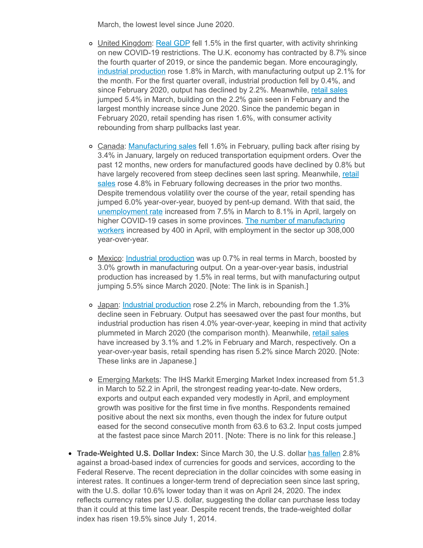March, the lowest level since June 2020.

- United Kingdom: Real [GDP](https://click.email.nam.org/?qs=5f90e6f7dbebfafe173fda23bd12bf7376d5444552b4d10c39f37ebe62f619b7d26f327190d2332c5e6ab55d8f274b0befdfff7c10320848) fell 1.5% in the first quarter, with activity shrinking on new COVID-19 restrictions. The U.K. economy has contracted by 8.7% since the fourth quarter of 2019, or since the pandemic began. More encouragingly, industrial [production](https://click.email.nam.org/?qs=5f90e6f7dbebfafe075af627af01b43a56fae6a6a7be3110ea977b0a4432df0cbc529bb635da39d81aca4855634062830dc3d0f1aa8aecb9) rose 1.8% in March, with manufacturing output up 2.1% for the month. For the first quarter overall, industrial production fell by 0.4%, and since February 2020, output has declined by 2.2%. Meanwhile, retail [sales](https://click.email.nam.org/?qs=5f90e6f7dbebfafe8f85a21d307c1dd60aa6094fe6473ebcf5fecbfd3669563d03be9d4273368accf0a3bdee9c3ea7fd46088f056acb9943) jumped 5.4% in March, building on the 2.2% gain seen in February and the largest monthly increase since June 2020. Since the pandemic began in February 2020, retail spending has risen 1.6%, with consumer activity rebounding from sharp pullbacks last year.
- Canada: [Manufacturing](https://click.email.nam.org/?qs=5f90e6f7dbebfafe950f7d28fb6073cf70a4f02d3fb10817f726f5b36b643b17adecf663e20bbfbfffa8e056c23cf6238147b82a1e70ffff) sales fell 1.6% in February, pulling back after rising by 3.4% in January, largely on reduced transportation equipment orders. Over the past 12 months, new orders for manufactured goods have declined by 0.8% but have largely recovered from steep declines seen last spring. [Meanwhile,](https://click.email.nam.org/?qs=5f90e6f7dbebfafe4004e73dfc7afa0d26aba9c5e1fe6b626d8192196792c179c084e81a0176ea66cd61f74f0e7714c1c3505aba658c628a) retail sales rose 4.8% in February following decreases in the prior two months. Despite tremendous volatility over the course of the year, retail spending has jumped 6.0% year-over-year, buoyed by pent-up demand. With that said, the [unemployment](https://click.email.nam.org/?qs=5f90e6f7dbebfafe38b383d020e26406eb273329458400f94f09ad7d5872b66b30ee4f74f4328f8bfa8e27a798b05fe1c25984b84493b7a3) rate increased from 7.5% in March to 8.1% in April, largely on higher COVID-19 cases in some provinces. The number of [manufacturing](https://click.email.nam.org/?qs=5f90e6f7dbebfafee9fadd7fc63bf2e4102a043490b17a45fabe195355650fa02ff3b2d748d9c1b071f87c8dfbb825703db569645aacfaff) workers increased by 400 in April, with employment in the sector up 308,000 year-over-year.
- o Mexico: Industrial [production](https://click.email.nam.org/?qs=5f90e6f7dbebfafe0b97be3763ac76d6e864ed4f80853adfe4301ab0f990665215a98870ccd1bfd3776b93c0c5379d1ef20a35a48bdb83a5) was up 0.7% in real terms in March, boosted by 3.0% growth in manufacturing output. On a year-over-year basis, industrial production has increased by 1.5% in real terms, but with manufacturing output jumping 5.5% since March 2020. [Note: The link is in Spanish.]
- Japan: Industrial [production](https://click.email.nam.org/?qs=5f90e6f7dbebfafe5b251de06e72cdab25671c8b142ff5911ad889d2d6af6a3912b36be177585b6818e019dc26f97679bcae1cc8838f6095) rose 2.2% in March, rebounding from the 1.3% decline seen in February. Output has seesawed over the past four months, but industrial production has risen 4.0% year-over-year, keeping in mind that activity plummeted in March 2020 (the comparison month). Meanwhile, retail [sales](https://click.email.nam.org/?qs=5f90e6f7dbebfafedd5e18bee85305d51148195ccd57f16bf4afd6a0276e3850c8bce316729abef6d54ae26b816b5ca3120b210a89cfd39c) have increased by 3.1% and 1.2% in February and March, respectively. On a year-over-year basis, retail spending has risen 5.2% since March 2020. [Note: These links are in Japanese.]
- o Emerging Markets: The IHS Markit Emerging Market Index increased from 51.3 in March to 52.2 in April, the strongest reading year-to-date. New orders, exports and output each expanded very modestly in April, and employment growth was positive for the first time in five months. Respondents remained positive about the next six months, even though the index for future output eased for the second consecutive month from 63.6 to 63.2. Input costs jumped at the fastest pace since March 2011. [Note: There is no link for this release.]
- **Trade-Weighted U.S. Dollar Index:** Since March 30, the U.S. dollar has [fallen](https://click.email.nam.org/?qs=5f90e6f7dbebfafef6964fc1924767d1b0097ecd98d07f5963c9c89a6ebcc30d6d89e5dce43fdb160f59f8dc451432956cb13e3e7f5550cd) 2.8% against a broad-based index of currencies for goods and services, according to the Federal Reserve. The recent depreciation in the dollar coincides with some easing in interest rates. It continues a longer-term trend of depreciation seen since last spring, with the U.S. dollar 10.6% lower today than it was on April 24, 2020. The index reflects currency rates per U.S. dollar, suggesting the dollar can purchase less today than it could at this time last year. Despite recent trends, the trade-weighted dollar index has risen 19.5% since July 1, 2014.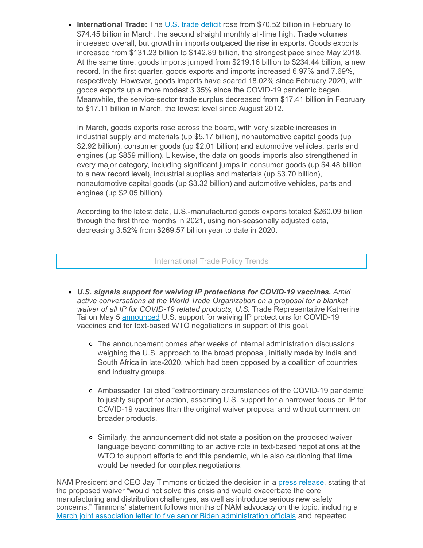**International Trade:** The U.S. trade [deficit](https://click.email.nam.org/?qs=5f90e6f7dbebfafe37b52330b15b334a70526f92c164f05543d26cd4f6f32d0618ddd1e894880f08446c1aa03e95b8c85ee2a27626bb6f16) rose from \$70.52 billion in February to \$74.45 billion in March, the second straight monthly all-time high. Trade volumes increased overall, but growth in imports outpaced the rise in exports. Goods exports increased from \$131.23 billion to \$142.89 billion, the strongest pace since May 2018. At the same time, goods imports jumped from \$219.16 billion to \$234.44 billion, a new record. In the first quarter, goods exports and imports increased 6.97% and 7.69%, respectively. However, goods imports have soared 18.02% since February 2020, with goods exports up a more modest 3.35% since the COVID-19 pandemic began. Meanwhile, the service-sector trade surplus decreased from \$17.41 billion in February to \$17.11 billion in March, the lowest level since August 2012.

In March, goods exports rose across the board, with very sizable increases in industrial supply and materials (up \$5.17 billion), nonautomotive capital goods (up \$2.92 billion), consumer goods (up \$2.01 billion) and automotive vehicles, parts and engines (up \$859 million). Likewise, the data on goods imports also strengthened in every major category, including significant jumps in consumer goods (up \$4.48 billion to a new record level), industrial supplies and materials (up \$3.70 billion), nonautomotive capital goods (up \$3.32 billion) and automotive vehicles, parts and engines (up \$2.05 billion).

According to the latest data, U.S.-manufactured goods exports totaled \$260.09 billion through the first three months in 2021, using non-seasonally adjusted data, decreasing 3.52% from \$269.57 billion year to date in 2020.

#### International Trade Policy Trends

- *U.S. signals support for waiving IP protections for COVID-19 vaccines. Amid active conversations at the World Trade Organization on a proposal for a blanket waiver of all IP for COVID-19 related products, U.S.* Trade Representative Katherine Tai on May 5 [announced](https://click.email.nam.org/?qs=5f90e6f7dbebfafe764e68343fac6b5cb222fc97441932e9ba32238babf6cb90453ea6a2ffe8339be49183f800971e5859eea64bbbd673fe) U.S. support for waiving IP protections for COVID-19 vaccines and for text-based WTO negotiations in support of this goal.
	- The announcement comes after weeks of internal administration discussions weighing the U.S. approach to the broad proposal, initially made by India and South Africa in late-2020, which had been opposed by a coalition of countries and industry groups.
	- Ambassador Tai cited "extraordinary circumstances of the COVID-19 pandemic" to justify support for action, asserting U.S. support for a narrower focus on IP for COVID-19 vaccines than the original waiver proposal and without comment on broader products.
	- Similarly, the announcement did not state a position on the proposed waiver language beyond committing to an active role in text-based negotiations at the WTO to support efforts to end this pandemic, while also cautioning that time would be needed for complex negotiations.

NAM President and CEO Jay Timmons criticized the decision in a press [release](https://click.email.nam.org/?qs=5f90e6f7dbebfafeda01330661235b8c7a272f7d835dbf87246950f079a95aa80031384c6832028264bacfb9a98ca75c510dd4e22235ddf7), stating that the proposed waiver "would not solve this crisis and would exacerbate the core manufacturing and distribution challenges, as well as introduce serious new safety concerns." Timmons' statement follows months of NAM advocacy on the topic, including a March joint association letter to five senior Biden [administration](https://click.email.nam.org/?qs=5f90e6f7dbebfafea4589583805caa2150c9595688f02cb6ba548ecd345c3fcba54eb117814a4ce34e5a4b56e97794dcd30088fc6e228dd3) officials and repeated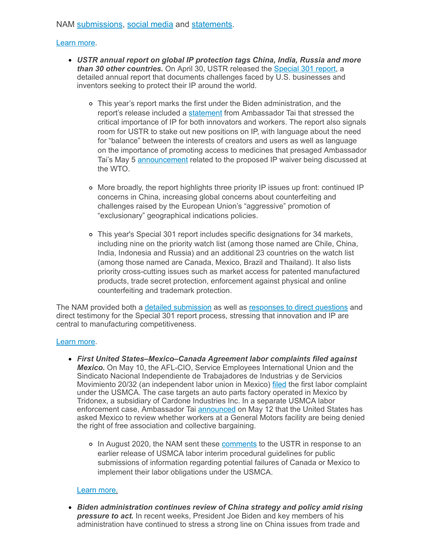# NAM [submissions,](https://click.email.nam.org/?qs=5f90e6f7dbebfafe144f8d608f2522c2843ba2443c086e5331453018926968253702095f481cd006ae9edc1c0a3387471627544156422e5e) [social media](https://click.email.nam.org/?qs=5f90e6f7dbebfafe93222e58db17880df4add0bf7e0fad18f430cecb5dfd8306d632a3bd08150b55938721b59cd11886262cf7436bab4e1a) and [statements.](https://click.email.nam.org/?qs=5f90e6f7dbebfafe6d1a9fe332adddcbeae0d7981e8c8fc0d775cf3a1565afd0108a1a733a8f6b6c1090fa14f437a1709edee1e9481917ef)

### [Learn](mailto:kmonahan@nam.org;rong@nam.org?subject=WTO-TRIPS) more.

- *USTR annual report on global IP protection tags China, India, Russia and more than 30 other countries.* On April 30, USTR released the [Special](https://click.email.nam.org/?qs=5f90e6f7dbebfafe75e753c9ef339643b9747220dfc4f9bd3a3a4a90e203c2065f2fd19affa081e68d148b0eb0063048fad40c5c0b76ece6) 301 report, a detailed annual report that documents challenges faced by U.S. businesses and inventors seeking to protect their IP around the world.
	- This year's report marks the first under the Biden administration, and the report's release included a [statement](https://click.email.nam.org/?qs=5f90e6f7dbebfafed788b570cbf0a476b747a545751ca5213b783d0621c4f6adc4006bd6a335f9ee9a20bf703033e393f686fa94101b7a15) from Ambassador Tai that stressed the critical importance of IP for both innovators and workers. The report also signals room for USTR to stake out new positions on IP, with language about the need for "balance" between the interests of creators and users as well as language on the importance of promoting access to medicines that presaged Ambassador Tai's May 5 [announcement](https://click.email.nam.org/?qs=5f90e6f7dbebfafe764e68343fac6b5cb222fc97441932e9ba32238babf6cb90453ea6a2ffe8339be49183f800971e5859eea64bbbd673fe) related to the proposed IP waiver being discussed at the WTO.
	- More broadly, the report highlights three priority IP issues up front: continued IP concerns in China, increasing global concerns about counterfeiting and challenges raised by the European Union's "aggressive" promotion of "exclusionary" geographical indications policies.
	- This year's Special 301 report includes specific designations for 34 markets, including nine on the priority watch list (among those named are Chile, China, India, Indonesia and Russia) and an additional 23 countries on the watch list (among those named are Canada, Mexico, Brazil and Thailand). It also lists priority cross-cutting issues such as market access for patented manufactured products, trade secret protection, enforcement against physical and online counterfeiting and trademark protection.

The NAM provided both a detailed [submission](https://click.email.nam.org/?qs=5f90e6f7dbebfafe144f8d608f2522c2843ba2443c086e5331453018926968253702095f481cd006ae9edc1c0a3387471627544156422e5e) as well as [responses](https://click.email.nam.org/?qs=c26ee6334dda6bdace5e6f93c98ddace19b9a954b29c7dafd13b313bdcfe9a81d73ecda02a0166c84f9398f2f38531909918e91d63b45293) to direct questions and direct testimony for the Special 301 report process, stressing that innovation and IP are central to manufacturing competitiveness.

#### [Learn](mailto:rong@nam.org?subject=NAM%20Global%20IP) more.

- *First United States–Mexico–Canada Agreement labor complaints filed against Mexico.* On May 10, the AFL-CIO, Service Employees International Union and the Sindicato Nacional Independiente de Trabajadores de Industrias y de Servicios Movimiento 20/32 (an independent labor union in Mexico) [filed](https://click.email.nam.org/?qs=c26ee6334dda6bdadbd6cd0610b11bbd21024f44b0c56eefc9efdc9d9fbec3ce47181c9128d5c3b3135c411ddc6a23ae2c9dc9c95cc4c269) the first labor complaint under the USMCA. The case targets an auto parts factory operated in Mexico by Tridonex, a subsidiary of Cardone Industries Inc. In a separate USMCA labor enforcement case, Ambassador Tai [announced](https://click.email.nam.org/?qs=c26ee6334dda6bda286f74c376bed962202a71a437ca1dc8db172590acaa65bb1661f284833a96d04164875d1e03fd99e441a3908b19dca2) on May 12 that the United States has asked Mexico to review whether workers at a General Motors facility are being denied the right of free association and collective bargaining.
	- o In August 2020, the NAM sent these [comments](https://click.email.nam.org/?qs=c26ee6334dda6bda75d3573b916631173777e53afd7eee7b0681ca0fecc7c8b5b80c210201fc4f31de6469cf290e4a7565f353bcdf42028b) to the USTR in response to an earlier release of USMCA labor interim procedural guidelines for public submissions of information regarding potential failures of Canada or Mexico to implement their labor obligations under the USMCA.

#### [Learn](mailto:kmonahan@nam.org;%20rong@nam.org?subject=USMCA%20Labor%20Complaint) more.

*Biden administration continues review of China strategy and policy amid rising pressure to act.* In recent weeks, President Joe Biden and key members of his administration have continued to stress a strong line on China issues from trade and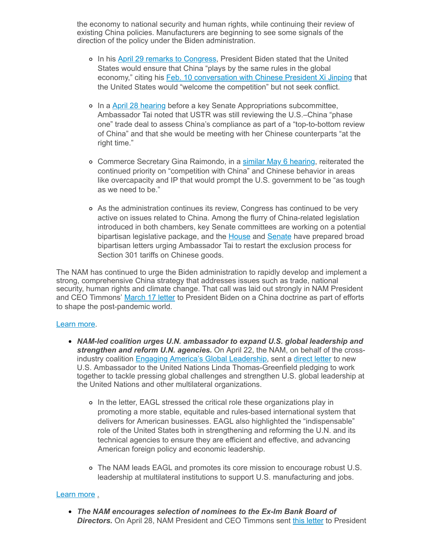the economy to national security and human rights, while continuing their review of existing China policies. Manufacturers are beginning to see some signals of the direction of the policy under the Biden administration.

- o In his April 29 remarks to [Congress](https://click.email.nam.org/?qs=c26ee6334dda6bda0567982562e941e5c3d6a1a0c93ddf461e8608bccf03eafee7801c7322111f82566f8476433aaf5ef5f3861c7a3faa8f), President Biden stated that the United States would ensure that China "plays by the same rules in the global economy," citing his Feb. 10 [conversation](https://click.email.nam.org/?qs=c26ee6334dda6bda0ff3662c101a3c766da0503529111e48eb060d6c607a043c7508e99f5a496a811fb15180a579aea82e698612af5c2445) with Chinese President Xi Jinping that the United States would "welcome the competition" but not seek conflict.
- o In a April 28 [hearing](https://click.email.nam.org/?qs=c26ee6334dda6bda94fc9de3b383fc7607f3ce0b472032c5bae94fd7ee59a404a935514bbd7c085bebefccbe9592673cedb56a792f3ad360) before a key Senate Appropriations subcommittee, Ambassador Tai noted that USTR was still reviewing the U.S.–China "phase one" trade deal to assess China's compliance as part of a "top-to-bottom review of China" and that she would be meeting with her Chinese counterparts "at the right time."
- o Commerce Secretary Gina Raimondo, in a similar May 6 [hearing,](https://click.email.nam.org/?qs=c26ee6334dda6bdaf3dfd5bc350db2286f82af4924731437e5b219faade1da0b78a644c6fddf3eeb2707add7c868a96e1d0c40ed0c985b6e) reiterated the continued priority on "competition with China" and Chinese behavior in areas like overcapacity and IP that would prompt the U.S. government to be "as tough as we need to be."
- As the administration continues its review, Congress has continued to be very active on issues related to China. Among the flurry of China-related legislation introduced in both chambers, key Senate committees are working on a potential bipartisan legislative package, and the **[House](https://click.email.nam.org/?qs=c26ee6334dda6bdabc864cfecdbcbb42f1a9b172c226eb48c890e862458731d72dd34f93f3a3dcd0903aa71a87309be68686239660eb4fba) and [Senate](https://click.email.nam.org/?qs=c26ee6334dda6bda67de3797e50fea116f358ea3fdf35ade162d5e8b88ab6efbec3093c99c10720604f22ff2ca6c2b763bb13e2f06a4fe4d) have prepared broad** bipartisan letters urging Ambassador Tai to restart the exclusion process for Section 301 tariffs on Chinese goods.

The NAM has continued to urge the Biden administration to rapidly develop and implement a strong, comprehensive China strategy that addresses issues such as trade, national security, human rights and climate change. That call was laid out strongly in NAM President and CEO Timmons' [March](https://click.email.nam.org/?qs=c26ee6334dda6bdab300baad1200aadcd11bd5089242e6e2911a8d0f0c5570567e76ec0c3f0aadb9a336cdded44af695231a46bb0a7edc86) 17 letter to President Biden on a China doctrine as part of efforts to shape the post-pandemic world.

#### [Learn](mailto:rong@nam.org?subject=NAM/China%20updates) more.

- *NAM-led coalition urges U.N. ambassador to expand U.S. global leadership and strengthen and reform U.N. agencies.* On April 22, the NAM, on behalf of the crossindustry coalition **Engaging America's Global [Leadership](https://click.email.nam.org/?qs=c26ee6334dda6bdaf5d7c83d452de240a2c9973f240806438df0da974c33a09341d724e5967fa461b37c59249950e0d68f967361b1036ee2)**, sent a [direct](https://click.email.nam.org/?qs=c26ee6334dda6bdabf9a1d834101100886ece29aca75f0c5d62df7a30e1af76b4bae4ad7d1a4edf08927e90e9228c89a2506c539a21cd63d) letter to new U.S. Ambassador to the United Nations Linda Thomas-Greenfield pledging to work together to tackle pressing global challenges and strengthen U.S. global leadership at the United Nations and other multilateral organizations.
	- o In the letter, EAGL stressed the critical role these organizations play in promoting a more stable, equitable and rules-based international system that delivers for American businesses. EAGL also highlighted the "indispensable" role of the United States both in strengthening and reforming the U.N. and its technical agencies to ensure they are efficient and effective, and advancing American foreign policy and economic leadership.
	- The NAM leads EAGL and promotes its core mission to encourage robust U.S. leadership at multilateral institutions to support U.S. manufacturing and jobs.

# [Learn](mailto:rong@nam.org?subject=USUN%20Letter) more .

*The NAM encourages selection of nominees to the Ex-Im Bank Board of* **Directors.** On April 28, NAM President and CEO Timmons sent this [letter](https://click.email.nam.org/?qs=c26ee6334dda6bdaad8849aab409b9935fb294d2eae7de159ac9364c3170f95ef0b09572189d327c75cc57bdd5285afcbf8d11ec8ce793e3) to President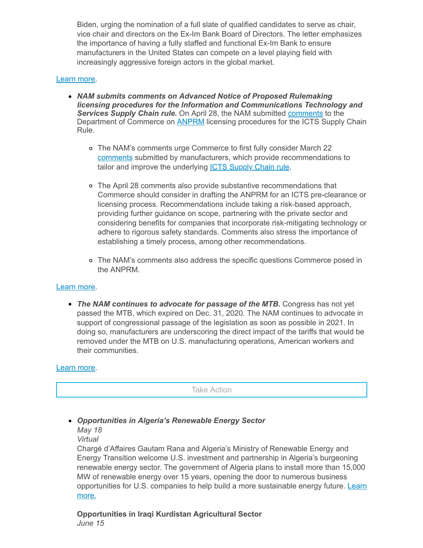Biden, urging the nomination of a full slate of qualified candidates to serve as chair, vice chair and directors on the Ex-Im Bank Board of Directors. The letter emphasizes the importance of having a fully staffed and functional Ex-Im Bank to ensure manufacturers in the United States can compete on a level playing field with increasingly aggressive foreign actors in the global market.

### [Learn](mailto:aaafedt@nam.org?subject=Ex-Im%20Bank) more.

- *NAM submits comments on Advanced Notice of Proposed Rulemaking licensing procedures for the Information and Communications Technology and Services Supply Chain rule.* On April 28, the NAM submitted [comments](https://click.email.nam.org/?qs=c26ee6334dda6bda4c58781a7d572cb4566b6046389fdf58692305a3072a872c7dd92401d6c2d94f7ecfac7954fb1ca0b4b8eabf4d1e35f9) to the Department of Commerce on **[ANPRM](https://click.email.nam.org/?qs=c26ee6334dda6bda2473dec7fe83058fbd011a2d01f4e008fcf55ad07d6066dd8692320d5c5bcda4afa5101c2c45467f602c9ee8008eac4b)** licensing procedures for the ICTS Supply Chain Rule.
	- The NAM's comments urge Commerce to first fully consider March 22 [comments](https://click.email.nam.org/?qs=c26ee6334dda6bda14821e71057ecfffc61f270c63f9b59666778fb2c297cdddc188ab777518912b4a342f62f5da433da1d3bcfbc64dfdb3) submitted by manufacturers, which provide recommendations to tailor and improve the underlying **ICTS [Supply](https://click.email.nam.org/?qs=c26ee6334dda6bda5a4f024babb2277d0983007c15f0731397265461c2ccd4f6cb705b1981f2eba80b01f95041f4d98bf66fd522bbd9a9ca) Chain rule.**
	- The April 28 comments also provide substantive recommendations that Commerce should consider in drafting the ANPRM for an ICTS pre-clearance or licensing process. Recommendations include taking a risk-based approach, providing further guidance on scope, partnering with the private sector and considering benefits for companies that incorporate risk-mitigating technology or adhere to rigorous safety standards. Comments also stress the importance of establishing a timely process, among other recommendations.
	- The NAM's comments also address the specific questions Commerce posed in the ANPRM.

#### [Learn](mailto:aaafedt@nam.org?subject=ICTS%20Supply%20Chain%20Rule) more.

*The NAM continues to advocate for passage of the MTB.* Congress has not yet passed the MTB, which expired on Dec. 31, 2020. The NAM continues to advocate in support of congressional passage of the legislation as soon as possible in 2021. In doing so, manufacturers are underscoring the direct impact of the tariffs that would be removed under the MTB on U.S. manufacturing operations, American workers and their communities.

#### [Learn](mailto:aaafedt@nam.org?subject=Miscellaneous%20Tariff%20Bill) more.

Take Action

# *Opportunities in Algeria's Renewable Energy Sector*

*May 18*

*Virtual*

Chargé d'Affaires Gautam Rana and Algeria's Ministry of Renewable Energy and Energy Transition welcome U.S. investment and partnership in Algeria's burgeoning renewable energy sector. The government of Algeria plans to install more than 15,000 MW of renewable energy over 15 years, opening the door to numerous business [opportunities](https://click.email.nam.org/?qs=c26ee6334dda6bda90177401ebb31394987779838022366a41ec9e066180fdfb1416d39aecc68e6588d29bb5706d7d93d8618bce260c1f27) for U.S. companies to help build a more sustainable energy future. Learn more.

**Opportunities in Iraqi Kurdistan Agricultural Sector** *June 15*